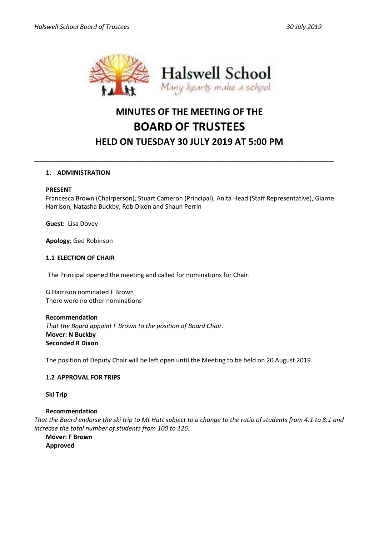

# **MINUTES OF THE MEETING OF THE BOARD OF TRUSTEES HELD ON TUESDAY 30 JULY 2019 AT 5:00 PM**

\_\_\_\_\_\_\_\_\_\_\_\_\_\_\_\_\_\_\_\_\_\_\_\_\_\_\_\_\_\_\_\_\_\_\_\_\_\_\_\_\_\_\_\_\_\_\_\_\_\_\_\_\_\_\_\_\_\_\_\_\_\_\_\_\_\_\_\_\_\_\_\_\_\_\_\_\_\_\_\_\_\_\_\_\_\_

# **1. ADMINISTRATION**

#### **PRESENT**

Francesca Brown (Chairperson), Stuart Cameron (Principal), Anita Head (Staff Representative), Giarne Harrison, Natasha Buckby, Rob Dixon and Shaun Perrin

**Guest:** Lisa Dovey

**Apology**: Ged Robinson

#### **1.1 ELECTION OF CHAIR**

The Principal opened the meeting and called for nominations for Chair.

G Harrison nominated F Brown There were no other nominations

#### **Recommendation**

*That the Board appoint F Brown to the position of Board Chair.* **Mover: N Buckby Seconded R Dixon**

The position of Deputy Chair will be left open until the Meeting to be held on 20 August 2019.

# **1.2 APPROVAL FOR TRIPS**

**Ski Trip**

#### **Recommendation**

*That the Board endorse the ski trip to Mt Hutt subject to a change to the ratio of students from 4:1 to 8:1 and increase the total number of students from 100 to 126.*

**Mover: F Brown Approved**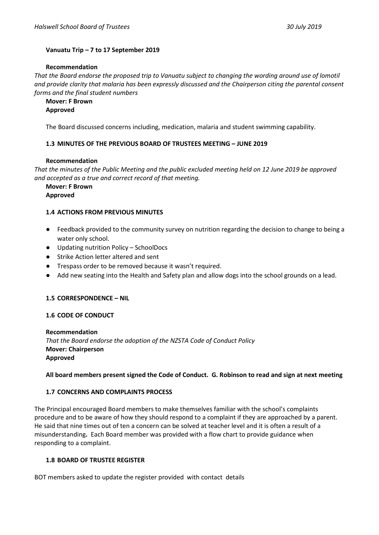# **Vanuatu Trip – 7 to 17 September 2019**

#### **Recommendation**

*That the Board endorse the proposed trip to Vanuatu subject to changing the wording around use of lomotil and provide clarity that malaria has been expressly discussed and the Chairperson citing the parental consent forms and the final student numbers*

**Mover: F Brown Approved**

The Board discussed concerns including, medication, malaria and student swimming capability.

# **1.3 MINUTES OF THE PREVIOUS BOARD OF TRUSTEES MEETING – JUNE 2019**

#### **Recommendation**

*That the minutes of the Public Meeting and the public excluded meeting held on 12 June 2019 be approved and accepted as a true and correct record of that meeting.*

**Mover: F Brown**

**Approved**

# **1.4 ACTIONS FROM PREVIOUS MINUTES**

- Feedback provided to the community survey on nutrition regarding the decision to change to being a water only school.
- Updating nutrition Policy SchoolDocs
- Strike Action letter altered and sent
- Trespass order to be removed because it wasn't required.
- Add new seating into the Health and Safety plan and allow dogs into the school grounds on a lead.

# **1.5 CORRESPONDENCE – NIL**

# **1.6 CODE OF CONDUCT**

**Recommendation** *That the Board endorse the adoption of the NZSTA Code of Conduct Policy* **Mover: Chairperson Approved**

# **All board members present signed the Code of Conduct. G. Robinson to read and sign at next meeting**

# **1.7 CONCERNS AND COMPLAINTS PROCESS**

The Principal encouraged Board members to make themselves familiar with the school's complaints procedure and to be aware of how they should respond to a complaint if they are approached by a parent. He said that nine times out of ten a concern can be solved at teacher level and it is often a result of a misunderstanding**.** Each Board member was provided with a flow chart to provide guidance when responding to a complaint.

# **1.8 BOARD OF TRUSTEE REGISTER**

BOT members asked to update the register provided with contact details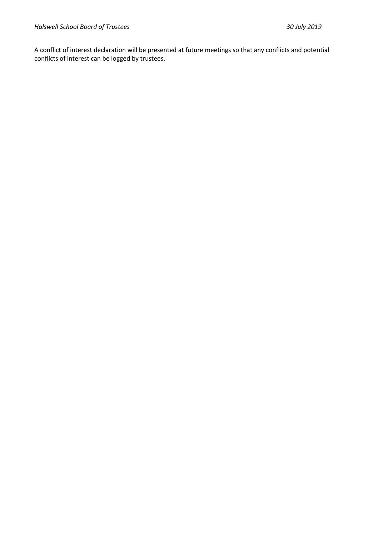A conflict of interest declaration will be presented at future meetings so that any conflicts and potential conflicts of interest can be logged by trustees.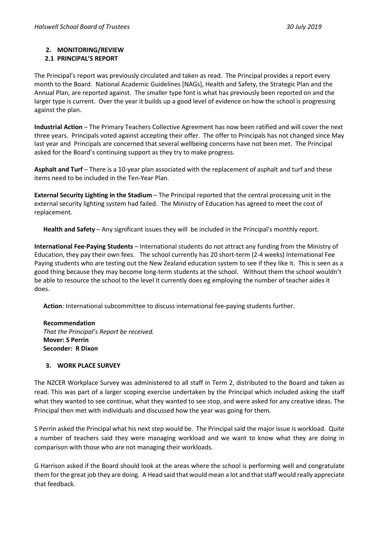# **2. MONITORING/REVIEW**

# **2.1 PRINCIPAL'S REPORT**

The Principal's report was previously circulated and taken as read. The Principal provides a report every month to the Board. National Academic Guidelines [NAGs], Health and Safety, the Strategic Plan and the Annual Plan, are reported against. The smaller type font is what has previously been reported on and the larger type is current. Over the year it builds up a good level of evidence on how the school is progressing against the plan.

**Industrial Action** – The Primary Teachers Collective Agreement has now been ratified and will cover the next three years. Principals voted against accepting their offer. The offer to Principals has not changed since May last year and Principals are concerned that several wellbeing concerns have not been met. The Principal asked for the Board's continuing support as they try to make progress.

**Asphalt and Turf** – There is a 10-year plan associated with the replacement of asphalt and turf and these items need to be included in the Ten-Year Plan.

**External Security Lighting in the Stadium** – The Principal reported that the central processing unit in the external security lighting system had failed. The Ministry of Education has agreed to meet the cost of replacement.

**Health and Safety** – Any significant issues they will be included in the Principal's monthly report.

**International Fee-Paying Students** – International students do not attract any funding from the Ministry of Education, they pay their own fees. The school currently has 20 short-term (2-4 weeks) International Fee Paying students who are testing out the New Zealand education system to see if they like it. This is seen as a good thing because they may become long-term students at the school. Without them the school wouldn't be able to resource the school to the level it currently does eg employing the number of teacher aides it does.

**Action**: International subcommittee to discuss international fee-paying students further.

**Recommendation** *That the Principal's Report be received.* **Mover: S Perrin Seconder: R Dixon**

# **3. WORK PLACE SURVEY**

The NZCER Workplace Survey was administered to all staff in Term 2, distributed to the Board and taken as read. This was part of a larger scoping exercise undertaken by the Principal which included asking the staff what they wanted to see continue, what they wanted to see stop, and were asked for any creative ideas. The Principal then met with individuals and discussed how the year was going for them.

S Perrin asked the Principal what his next step would be. The Principal said the major issue is workload. Quite a number of teachers said they were managing workload and we want to know what they are doing in comparison with those who are not managing their workloads.

G Harrison asked if the Board should look at the areas where the school is performing well and congratulate them for the great job they are doing. A Head said that would mean a lot and that staff would really appreciate that feedback.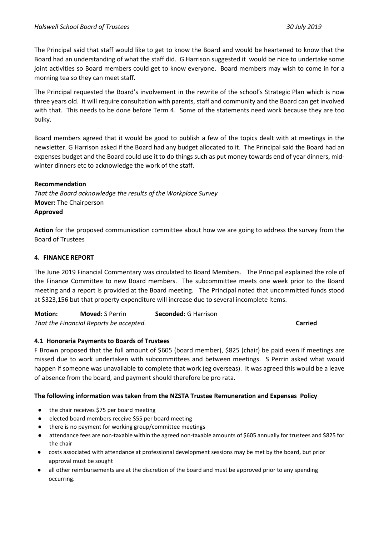The Principal said that staff would like to get to know the Board and would be heartened to know that the Board had an understanding of what the staff did. G Harrison suggested it would be nice to undertake some joint activities so Board members could get to know everyone. Board members may wish to come in for a morning tea so they can meet staff.

The Principal requested the Board's involvement in the rewrite of the school's Strategic Plan which is now three years old. It will require consultation with parents, staff and community and the Board can get involved with that. This needs to be done before Term 4. Some of the statements need work because they are too bulky.

Board members agreed that it would be good to publish a few of the topics dealt with at meetings in the newsletter. G Harrison asked if the Board had any budget allocated to it. The Principal said the Board had an expenses budget and the Board could use it to do things such as put money towards end of year dinners, midwinter dinners etc to acknowledge the work of the staff.

# **Recommendation**

*That the Board acknowledge the results of the Workplace Survey* **Mover:** The Chairperson **Approved**

**Action** for the proposed communication committee about how we are going to address the survey from the Board of Trustees

# **4. FINANCE REPORT**

The June 2019 Financial Commentary was circulated to Board Members. The Principal explained the role of the Finance Committee to new Board members. The subcommittee meets one week prior to the Board meeting and a report is provided at the Board meeting. The Principal noted that uncommitted funds stood at \$323,156 but that property expenditure will increase due to several incomplete items.

**Motion: Moved:** S Perrin **Seconded:** G Harrison *That the Financial Reports be accepted.* **Carried**

# **4.1 Honoraria Payments to Boards of Trustees**

F Brown proposed that the full amount of \$605 (board member), \$825 (chair) be paid even if meetings are missed due to work undertaken with subcommittees and between meetings. S Perrin asked what would happen if someone was unavailable to complete that work (eg overseas). It was agreed this would be a leave of absence from the board, and payment should therefore be pro rata.

# **The following information was taken from the NZSTA Trustee Remuneration and Expenses Policy**

- the chair receives \$75 per board meeting
- elected board members receive \$55 per board meeting
- there is no payment for working group/committee meetings
- attendance fees are non-taxable within the agreed non-taxable amounts of \$605 annually for trustees and \$825 for the chair
- costs associated with attendance at professional development sessions may be met by the board, but prior approval must be sought
- all other reimbursements are at the discretion of the board and must be approved prior to any spending occurring.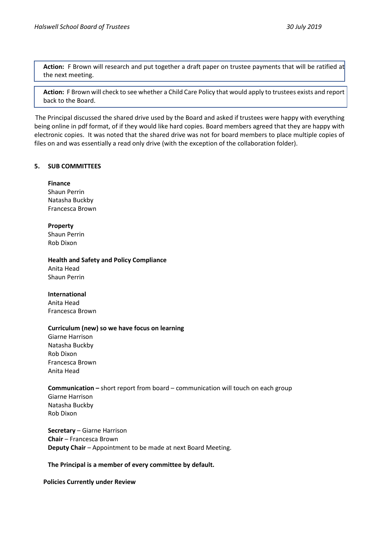**Action:** F Brown will research and put together a draft paper on trustee payments that will be ratified at the next meeting.

**Action:** F Brown will check to see whether a Child Care Policy that would apply to trustees exists and report back to the Board.

The Principal discussed the shared drive used by the Board and asked if trustees were happy with everything being online in pdf format, of if they would like hard copies. Board members agreed that they are happy with electronic copies. It was noted that the shared drive was not for board members to place multiple copies of files on and was essentially a read only drive (with the exception of the collaboration folder).

# **5. SUB COMMITTEES**

# **Finance**

Shaun Perrin Natasha Buckby Francesca Brown

# **Property**

Shaun Perrin Rob Dixon

**Health and Safety and Policy Compliance**

Anita Head Shaun Perrin

# **International**

Anita Head Francesca Brown

# **Curriculum (new) so we have focus on learning**

Giarne Harrison Natasha Buckby Rob Dixon Francesca Brown Anita Head

# **Communication –** short report from board – communication will touch on each group

Giarne Harrison Natasha Buckby Rob Dixon

**Secretary** – Giarne Harrison **Chair** – Francesca Brown **Deputy Chair** – Appointment to be made at next Board Meeting.

# **The Principal is a member of every committee by default.**

# **Policies Currently under Review**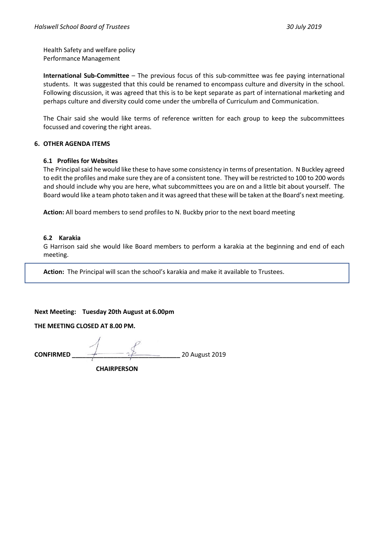Health Safety and welfare policy Performance Management

**International Sub-Committee** – The previous focus of this sub-committee was fee paying international students. It was suggested that this could be renamed to encompass culture and diversity in the school. Following discussion, it was agreed that this is to be kept separate as part of international marketing and perhaps culture and diversity could come under the umbrella of Curriculum and Communication.

The Chair said she would like terms of reference written for each group to keep the subcommittees focussed and covering the right areas.

# **6. OTHER AGENDA ITEMS**

# **6.1 Profiles for Websites**

The Principal said he would like these to have some consistency in terms of presentation. N Buckley agreed to edit the profiles and make sure they are of a consistent tone. They will be restricted to 100 to 200 words and should include why you are here, what subcommittees you are on and a little bit about yourself. The Board would like a team photo taken and it was agreed that these will be taken at the Board's next meeting.

**Action:** All board members to send profiles to N. Buckby prior to the next board meeting

# **6.2 Karakia**

G Harrison said she would like Board members to perform a karakia at the beginning and end of each meeting.

**Action:** The Principal will scan the school's karakia and make it available to Trustees.

**Next Meeting: Tuesday 20th August at 6.00pm**

**THE MEETING CLOSED AT 8.00 PM.** 

**CONFIRMED \_\_\_\_\_\_\_\_\_\_\_\_\_\_\_\_\_\_\_\_\_\_\_\_\_\_\_\_\_\_\_** 20 August 2019

 **CHAIRPERSON**